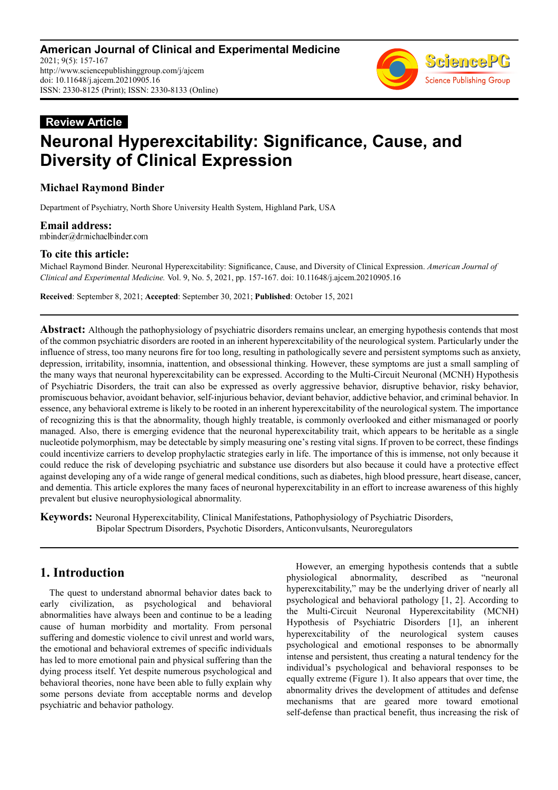

# **Review Article Neuronal Hyperexcitability: Significance, Cause, and Diversity of Clinical Expression**

## **Michael Raymond Binder**

Department of Psychiatry, North Shore University Health System, Highland Park, USA

**Email address:**<br>mbinder@drmichaelbinder.com

## **To cite this article:**

Michael Raymond Binder. Neuronal Hyperexcitability: Significance, Cause, and Diversity of Clinical Expression. *American Journal of Clinical and Experimental Medicine.* Vol. 9, No. 5, 2021, pp. 157-167. doi: 10.11648/j.ajcem.20210905.16

**Received**: September 8, 2021; **Accepted**: September 30, 2021; **Published**: October 15, 2021

**Abstract:** Although the pathophysiology of psychiatric disorders remains unclear, an emerging hypothesis contends that most of the common psychiatric disorders are rooted in an inherent hyperexcitability of the neurological system. Particularly under the influence of stress, too many neurons fire for too long, resulting in pathologically severe and persistent symptoms such as anxiety, depression, irritability, insomnia, inattention, and obsessional thinking. However, these symptoms are just a small sampling of the many ways that neuronal hyperexcitability can be expressed. According to the Multi-Circuit Neuronal (MCNH) Hypothesis of Psychiatric Disorders, the trait can also be expressed as overly aggressive behavior, disruptive behavior, risky behavior, promiscuous behavior, avoidant behavior, self-injurious behavior, deviant behavior, addictive behavior, and criminal behavior. In essence, any behavioral extreme is likely to be rooted in an inherent hyperexcitability of the neurological system. The importance of recognizing this is that the abnormality, though highly treatable, is commonly overlooked and either mismanaged or poorly managed. Also, there is emerging evidence that the neuronal hyperexcitability trait, which appears to be heritable as a single nucleotide polymorphism, may be detectable by simply measuring one's resting vital signs. If proven to be correct, these findings could incentivize carriers to develop prophylactic strategies early in life. The importance of this is immense, not only because it could reduce the risk of developing psychiatric and substance use disorders but also because it could have a protective effect against developing any of a wide range of general medical conditions, such as diabetes, high blood pressure, heart disease, cancer, and dementia. This article explores the many faces of neuronal hyperexcitability in an effort to increase awareness of this highly prevalent but elusive neurophysiological abnormality.

**Keywords:** Neuronal Hyperexcitability, Clinical Manifestations, Pathophysiology of Psychiatric Disorders, Bipolar Spectrum Disorders, Psychotic Disorders, Anticonvulsants, Neuroregulators

## **1. Introduction**

The quest to understand abnormal behavior dates back to early civilization, as psychological and behavioral abnormalities have always been and continue to be a leading cause of human morbidity and mortality. From personal suffering and domestic violence to civil unrest and world wars, the emotional and behavioral extremes of specific individuals has led to more emotional pain and physical suffering than the dying process itself. Yet despite numerous psychological and behavioral theories, none have been able to fully explain why some persons deviate from acceptable norms and develop psychiatric and behavior pathology.

However, an emerging hypothesis contends that a subtle physiological abnormality, described as "neuronal hyperexcitability," may be the underlying driver of nearly all psychological and behavioral pathology [1, 2]. According to the Multi-Circuit Neuronal Hyperexcitability (MCNH) Hypothesis of Psychiatric Disorders [1], an inherent hyperexcitability of the neurological system causes psychological and emotional responses to be abnormally intense and persistent, thus creating a natural tendency for the individual's psychological and behavioral responses to be equally extreme (Figure 1). It also appears that over time, the abnormality drives the development of attitudes and defense mechanisms that are geared more toward emotional self-defense than practical benefit, thus increasing the risk of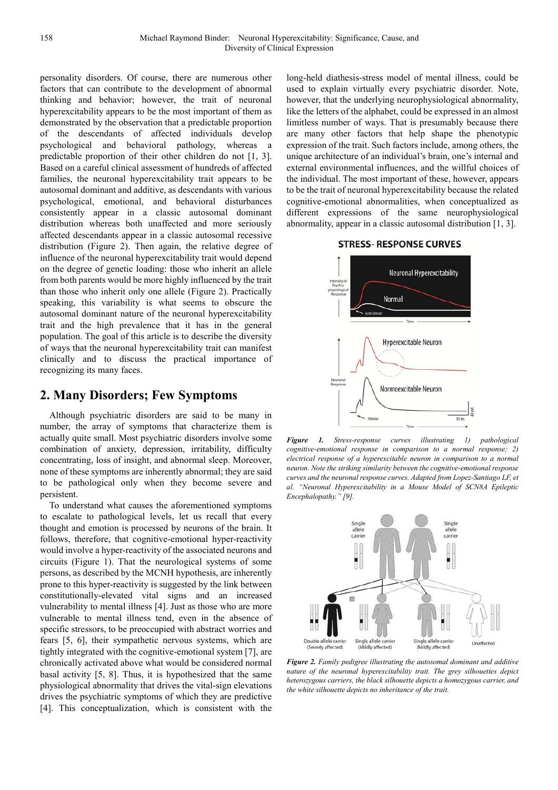personality disorders. Of course, there are numerous other factors that can contribute to the development of abnormal thinking and behavior; however, the trait of neuronal hyperexcitability appears to be the most important of them as demonstrated by the observation that a predictable proportion of the descendants of affected individuals develop psychological and behavioral pathology, whereas a predictable proportion of their other children do not [1, 3]. Based on a careful clinical assessment of hundreds of affected families, the neuronal hyperexcitability trait appears to be autosomal dominant and additive, as descendants with various psychological, emotional, and behavioral disturbances consistently appear in a classic autosomal dominant distribution whereas both unaffected and more seriously affected descendants appear in a classic autosomal recessive distribution (Figure 2). Then again, the relative degree of influence of the neuronal hyperexcitability trait would depend on the degree of genetic loading: those who inherit an allele from both parents would be more highly influenced by the trait than those who inherit only one allele (Figure 2). Practically speaking, this variability is what seems to obscure the autosomal dominant nature of the neuronal hyperexcitability trait and the high prevalence that it has in the general population. The goal of this article is to describe the diversity of ways that the neuronal hyperexcitability trait can manifest clinically and to discuss the practical importance of recognizing its many faces.

## **2. Many Disorders; Few Symptoms**

Although psychiatric disorders are said to be many in number, the array of symptoms that characterize them is actually quite small. Most psychiatric disorders involve some combination of anxiety, depression, irritability, difficulty concentrating, loss of insight, and abnormal sleep. Moreover, none of these symptoms are inherently abnormal; they are said to be pathological only when they become severe and persistent.

To understand what causes the aforementioned symptoms to escalate to pathological levels, let us recall that every thought and emotion is processed by neurons of the brain. It follows, therefore, that cognitive-emotional hyper-reactivity would involve a hyper-reactivity of the associated neurons and circuits (Figure 1). That the neurological systems of some persons, as described by the MCNH hypothesis, are inherently prone to this hyper-reactivity is suggested by the link between constitutionally-elevated vital signs and an increased vulnerability to mental illness [4]. Just as those who are more vulnerable to mental illness tend, even in the absence of specific stressors, to be preoccupied with abstract worries and fears [5, 6], their sympathetic nervous systems, which are tightly integrated with the cognitive-emotional system [7], are chronically activated above what would be considered normal basal activity [5, 8]. Thus, it is hypothesized that the same physiological abnormality that drives the vital-sign elevations drives the psychiatric symptoms of which they are predictive [4]. This conceptualization, which is consistent with the

long-held diathesis-stress model of mental illness, could be used to explain virtually every psychiatric disorder. Note, however, that the underlying neurophysiological abnormality, like the letters of the alphabet, could be expressed in an almost limitless number of ways. That is presumably because there are many other factors that help shape the phenotypic expression of the trait. Such factors include, among others, the unique architecture of an individual's brain, one's internal and external environmental influences, and the willful choices of the individual. The most important of these, however, appears to be the trait of neuronal hyperexcitability because the related cognitive-emotional abnormalities, when conceptualized as different expressions of the same neurophysiological abnormality, appear in a classic autosomal distribution [1, 3].

#### **STRESS- RESPONSE CURVES**



*Figure 1. Stress-response curves illustrating 1) pathological cognitive-emotional response in comparison to a normal response; 2) electrical response of a hyperexcitable neuron in comparison to a normal neuron. Note the striking similarity between the cognitive-emotional response curves and the neuronal response curves. Adapted from Lopez-Santiago LF, et al. "Neuronal Hyperexcitability in a Mouse Model of SCN8A Epileptic Encephalopathy." [9].* 



*Figure 2. Family pedigree illustrating the autosomal dominant and additive nature of the neuronal hyperexcitability trait. The grey silhouettes depict heterozygous carriers, the black silhouette depicts a homozygous carrier, and the white silhouette depicts no inheritance of the trait.*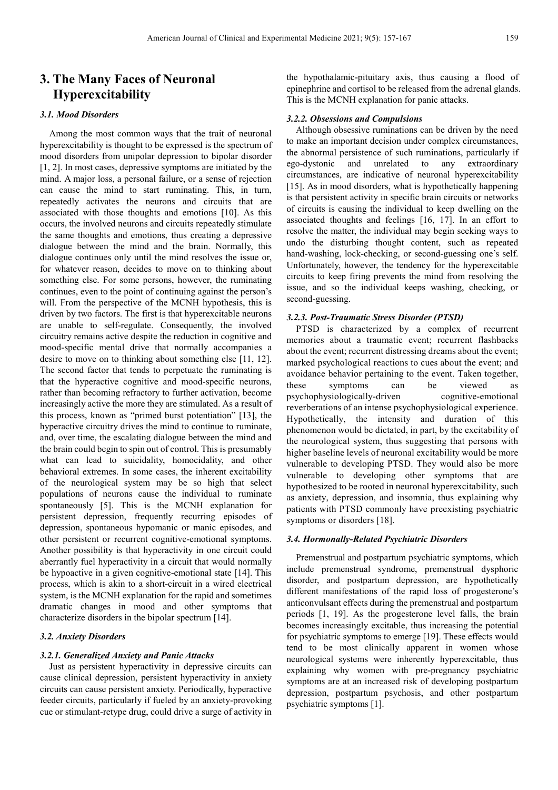## **3. The Many Faces of Neuronal Hyperexcitability**

#### *3.1. Mood Disorders*

Among the most common ways that the trait of neuronal hyperexcitability is thought to be expressed is the spectrum of mood disorders from unipolar depression to bipolar disorder [1, 2]. In most cases, depressive symptoms are initiated by the mind. A major loss, a personal failure, or a sense of rejection can cause the mind to start ruminating. This, in turn, repeatedly activates the neurons and circuits that are associated with those thoughts and emotions [10]. As this occurs, the involved neurons and circuits repeatedly stimulate the same thoughts and emotions, thus creating a depressive dialogue between the mind and the brain. Normally, this dialogue continues only until the mind resolves the issue or, for whatever reason, decides to move on to thinking about something else. For some persons, however, the ruminating continues, even to the point of continuing against the person's will. From the perspective of the MCNH hypothesis, this is driven by two factors. The first is that hyperexcitable neurons are unable to self-regulate. Consequently, the involved circuitry remains active despite the reduction in cognitive and mood-specific mental drive that normally accompanies a desire to move on to thinking about something else [11, 12]. The second factor that tends to perpetuate the ruminating is that the hyperactive cognitive and mood-specific neurons, rather than becoming refractory to further activation, become increasingly active the more they are stimulated. As a result of this process, known as "primed burst potentiation" [13], the hyperactive circuitry drives the mind to continue to ruminate, and, over time, the escalating dialogue between the mind and the brain could begin to spin out of control. This is presumably what can lead to suicidality, homocidality, and other behavioral extremes. In some cases, the inherent excitability of the neurological system may be so high that select populations of neurons cause the individual to ruminate spontaneously [5]. This is the MCNH explanation for persistent depression, frequently recurring episodes of depression, spontaneous hypomanic or manic episodes, and other persistent or recurrent cognitive-emotional symptoms. Another possibility is that hyperactivity in one circuit could aberrantly fuel hyperactivity in a circuit that would normally be hypoactive in a given cognitive-emotional state [14]. This process, which is akin to a short-circuit in a wired electrical system, is the MCNH explanation for the rapid and sometimes dramatic changes in mood and other symptoms that characterize disorders in the bipolar spectrum [14].

#### *3.2. Anxiety Disorders*

#### *3.2.1. Generalized Anxiety and Panic Attacks*

Just as persistent hyperactivity in depressive circuits can cause clinical depression, persistent hyperactivity in anxiety circuits can cause persistent anxiety. Periodically, hyperactive feeder circuits, particularly if fueled by an anxiety-provoking cue or stimulant-retype drug, could drive a surge of activity in the hypothalamic-pituitary axis, thus causing a flood of epinephrine and cortisol to be released from the adrenal glands. This is the MCNH explanation for panic attacks.

#### *3.2.2. Obsessions and Compulsions*

Although obsessive ruminations can be driven by the need to make an important decision under complex circumstances, the abnormal persistence of such ruminations, particularly if ego-dystonic and unrelated to any extraordinary circumstances, are indicative of neuronal hyperexcitability [15]. As in mood disorders, what is hypothetically happening is that persistent activity in specific brain circuits or networks of circuits is causing the individual to keep dwelling on the associated thoughts and feelings [16, 17]. In an effort to resolve the matter, the individual may begin seeking ways to undo the disturbing thought content, such as repeated hand-washing, lock-checking, or second-guessing one's self. Unfortunately, however, the tendency for the hyperexcitable circuits to keep firing prevents the mind from resolving the issue, and so the individual keeps washing, checking, or second-guessing.

#### *3.2.3. Post-Traumatic Stress Disorder (PTSD)*

PTSD is characterized by a complex of recurrent memories about a traumatic event; recurrent flashbacks about the event; recurrent distressing dreams about the event; marked psychological reactions to cues about the event; and avoidance behavior pertaining to the event. Taken together, these symptoms can be viewed as psychophysiologically-driven cognitive-emotional reverberations of an intense psychophysiological experience. Hypothetically, the intensity and duration of this phenomenon would be dictated, in part, by the excitability of the neurological system, thus suggesting that persons with higher baseline levels of neuronal excitability would be more vulnerable to developing PTSD. They would also be more vulnerable to developing other symptoms that are hypothesized to be rooted in neuronal hyperexcitability, such as anxiety, depression, and insomnia, thus explaining why patients with PTSD commonly have preexisting psychiatric symptoms or disorders [18].

#### *3.4. Hormonally-Related Psychiatric Disorders*

Premenstrual and postpartum psychiatric symptoms, which include premenstrual syndrome, premenstrual dysphoric disorder, and postpartum depression, are hypothetically different manifestations of the rapid loss of progesterone's anticonvulsant effects during the premenstrual and postpartum periods [1, 19]. As the progesterone level falls, the brain becomes increasingly excitable, thus increasing the potential for psychiatric symptoms to emerge [19]. These effects would tend to be most clinically apparent in women whose neurological systems were inherently hyperexcitable, thus explaining why women with pre-pregnancy psychiatric symptoms are at an increased risk of developing postpartum depression, postpartum psychosis, and other postpartum psychiatric symptoms [1].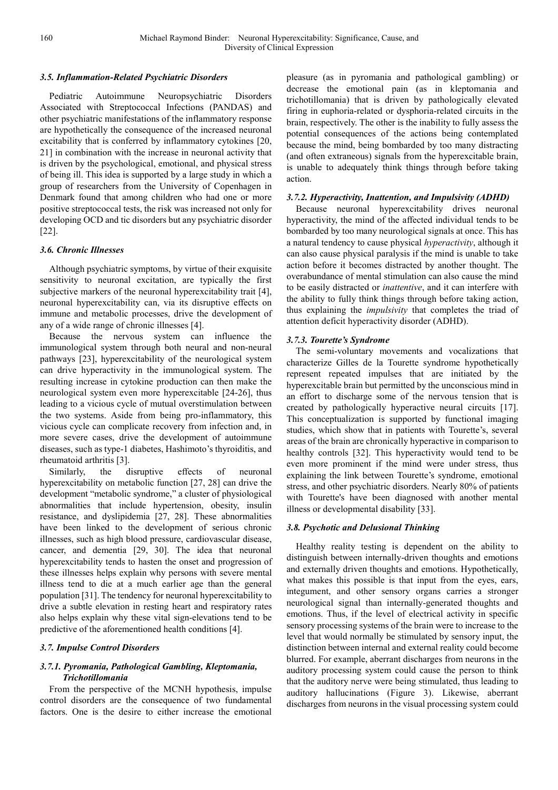#### *3.5. Inflammation-Related Psychiatric Disorders*

Pediatric Autoimmune Neuropsychiatric Disorders Associated with Streptococcal Infections (PANDAS) and other psychiatric manifestations of the inflammatory response are hypothetically the consequence of the increased neuronal excitability that is conferred by inflammatory cytokines [20, 21] in combination with the increase in neuronal activity that is driven by the psychological, emotional, and physical stress of being ill. This idea is supported by a large study in which a group of researchers from the University of Copenhagen in Denmark found that among children who had one or more positive streptococcal tests, the risk was increased not only for developing OCD and tic disorders but any psychiatric disorder [22].

#### *3.6. Chronic Illnesses*

Although psychiatric symptoms, by virtue of their exquisite sensitivity to neuronal excitation, are typically the first subjective markers of the neuronal hyperexcitability trait [4], neuronal hyperexcitability can, via its disruptive effects on immune and metabolic processes, drive the development of any of a wide range of chronic illnesses [4].

Because the nervous system can influence the immunological system through both neural and non-neural pathways [23], hyperexcitability of the neurological system can drive hyperactivity in the immunological system. The resulting increase in cytokine production can then make the neurological system even more hyperexcitable [24-26], thus leading to a vicious cycle of mutual overstimulation between the two systems. Aside from being pro-inflammatory, this vicious cycle can complicate recovery from infection and, in more severe cases, drive the development of autoimmune diseases, such as type-1 diabetes, Hashimoto's thyroiditis, and rheumatoid arthritis [3].

Similarly, the disruptive effects of neuronal hyperexcitability on metabolic function [27, 28] can drive the development "metabolic syndrome," a cluster of physiological abnormalities that include hypertension, obesity, insulin resistance, and dyslipidemia [27, 28]. These abnormalities have been linked to the development of serious chronic illnesses, such as high blood pressure, cardiovascular disease, cancer, and dementia [29, 30]. The idea that neuronal hyperexcitability tends to hasten the onset and progression of these illnesses helps explain why persons with severe mental illness tend to die at a much earlier age than the general population [31]. The tendency for neuronal hyperexcitability to drive a subtle elevation in resting heart and respiratory rates also helps explain why these vital sign-elevations tend to be predictive of the aforementioned health conditions [4].

### *3.7. Impulse Control Disorders*

### *3.7.1. Pyromania, Pathological Gambling, Kleptomania, Trichotillomania*

From the perspective of the MCNH hypothesis, impulse control disorders are the consequence of two fundamental factors. One is the desire to either increase the emotional pleasure (as in pyromania and pathological gambling) or decrease the emotional pain (as in kleptomania and trichotillomania) that is driven by pathologically elevated firing in euphoria-related or dysphoria-related circuits in the brain, respectively. The other is the inability to fully assess the potential consequences of the actions being contemplated because the mind, being bombarded by too many distracting (and often extraneous) signals from the hyperexcitable brain, is unable to adequately think things through before taking action.

#### *3.7.2. Hyperactivity, Inattention, and Impulsivity (ADHD)*

Because neuronal hyperexcitability drives neuronal hyperactivity, the mind of the affected individual tends to be bombarded by too many neurological signals at once. This has a natural tendency to cause physical *hyperactivity*, although it can also cause physical paralysis if the mind is unable to take action before it becomes distracted by another thought. The overabundance of mental stimulation can also cause the mind to be easily distracted or *inattentive*, and it can interfere with the ability to fully think things through before taking action, thus explaining the *impulsivity* that completes the triad of attention deficit hyperactivity disorder (ADHD).

### *3.7.3. Tourette's Syndrome*

The semi-voluntary movements and vocalizations that characterize Gilles de la Tourette syndrome hypothetically represent repeated impulses that are initiated by the hyperexcitable brain but permitted by the unconscious mind in an effort to discharge some of the nervous tension that is created by pathologically hyperactive neural circuits [17]. This conceptualization is supported by functional imaging studies, which show that in patients with Tourette's, several areas of the brain are chronically hyperactive in comparison to healthy controls [32]. This hyperactivity would tend to be even more prominent if the mind were under stress, thus explaining the link between Tourette's syndrome, emotional stress, and other psychiatric disorders. Nearly 80% of patients with Tourette's have been diagnosed with another mental illness or developmental disability [33].

### *3.8. Psychotic and Delusional Thinking*

Healthy reality testing is dependent on the ability to distinguish between internally-driven thoughts and emotions and externally driven thoughts and emotions. Hypothetically, what makes this possible is that input from the eyes, ears, integument, and other sensory organs carries a stronger neurological signal than internally-generated thoughts and emotions. Thus, if the level of electrical activity in specific sensory processing systems of the brain were to increase to the level that would normally be stimulated by sensory input, the distinction between internal and external reality could become blurred. For example, aberrant discharges from neurons in the auditory processing system could cause the person to think that the auditory nerve were being stimulated, thus leading to auditory hallucinations (Figure 3). Likewise, aberrant discharges from neurons in the visual processing system could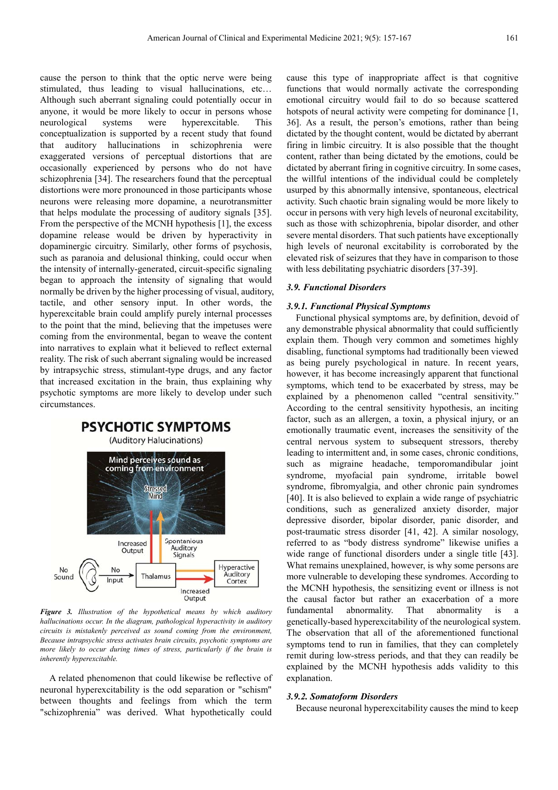cause the person to think that the optic nerve were being stimulated, thus leading to visual hallucinations, etc… Although such aberrant signaling could potentially occur in anyone, it would be more likely to occur in persons whose neurological systems were hyperexcitable. This conceptualization is supported by a recent study that found that auditory hallucinations in schizophrenia were exaggerated versions of perceptual distortions that are occasionally experienced by persons who do not have schizophrenia [34]. The researchers found that the perceptual distortions were more pronounced in those participants whose neurons were releasing more dopamine, a neurotransmitter that helps modulate the processing of auditory signals [35]. From the perspective of the MCNH hypothesis [1], the excess dopamine release would be driven by hyperactivity in dopaminergic circuitry. Similarly, other forms of psychosis, such as paranoia and delusional thinking, could occur when the intensity of internally-generated, circuit-specific signaling began to approach the intensity of signaling that would normally be driven by the higher processing of visual, auditory, tactile, and other sensory input. In other words, the hyperexcitable brain could amplify purely internal processes to the point that the mind, believing that the impetuses were coming from the environmental, began to weave the content into narratives to explain what it believed to reflect external reality. The risk of such aberrant signaling would be increased by intrapsychic stress, stimulant-type drugs, and any factor that increased excitation in the brain, thus explaining why psychotic symptoms are more likely to develop under such circumstances.



*Figure 3. Illustration of the hypothetical means by which auditory hallucinations occur. In the diagram, pathological hyperactivity in auditory circuits is mistakenly perceived as sound coming from the environment, Because intrapsychic stress activates brain circuits, psychotic symptoms are more likely to occur during times of stress, particularly if the brain is inherently hyperexcitable.* 

A related phenomenon that could likewise be reflective of neuronal hyperexcitability is the odd separation or "schism" between thoughts and feelings from which the term "schizophrenia" was derived. What hypothetically could cause this type of inappropriate affect is that cognitive functions that would normally activate the corresponding emotional circuitry would fail to do so because scattered hotspots of neural activity were competing for dominance [1, 36]. As a result, the person's emotions, rather than being dictated by the thought content, would be dictated by aberrant firing in limbic circuitry. It is also possible that the thought content, rather than being dictated by the emotions, could be dictated by aberrant firing in cognitive circuitry. In some cases, the willful intentions of the individual could be completely usurped by this abnormally intensive, spontaneous, electrical activity. Such chaotic brain signaling would be more likely to occur in persons with very high levels of neuronal excitability, such as those with schizophrenia, bipolar disorder, and other severe mental disorders. That such patients have exceptionally high levels of neuronal excitability is corroborated by the elevated risk of seizures that they have in comparison to those with less debilitating psychiatric disorders [37-39].

#### *3.9. Functional Disorders*

#### *3.9.1. Functional Physical Symptoms*

Functional physical symptoms are, by definition, devoid of any demonstrable physical abnormality that could sufficiently explain them. Though very common and sometimes highly disabling, functional symptoms had traditionally been viewed as being purely psychological in nature. In recent years, however, it has become increasingly apparent that functional symptoms, which tend to be exacerbated by stress, may be explained by a phenomenon called "central sensitivity." According to the central sensitivity hypothesis, an inciting factor, such as an allergen, a toxin, a physical injury, or an emotionally traumatic event, increases the sensitivity of the central nervous system to subsequent stressors, thereby leading to intermittent and, in some cases, chronic conditions, such as migraine headache, temporomandibular joint syndrome, myofacial pain syndrome, irritable bowel syndrome, fibromyalgia, and other chronic pain syndromes [40]. It is also believed to explain a wide range of psychiatric conditions, such as generalized anxiety disorder, major depressive disorder, bipolar disorder, panic disorder, and post-traumatic stress disorder [41, 42]. A similar nosology, referred to as "body distress syndrome" likewise unifies a wide range of functional disorders under a single title [43]. What remains unexplained, however, is why some persons are more vulnerable to developing these syndromes. According to the MCNH hypothesis, the sensitizing event or illness is not the causal factor but rather an exacerbation of a more fundamental abnormality. That abnormality is a genetically-based hyperexcitability of the neurological system. The observation that all of the aforementioned functional symptoms tend to run in families, that they can completely remit during low-stress periods, and that they can readily be explained by the MCNH hypothesis adds validity to this explanation.

#### *3.9.2. Somatoform Disorders*

Because neuronal hyperexcitability causes the mind to keep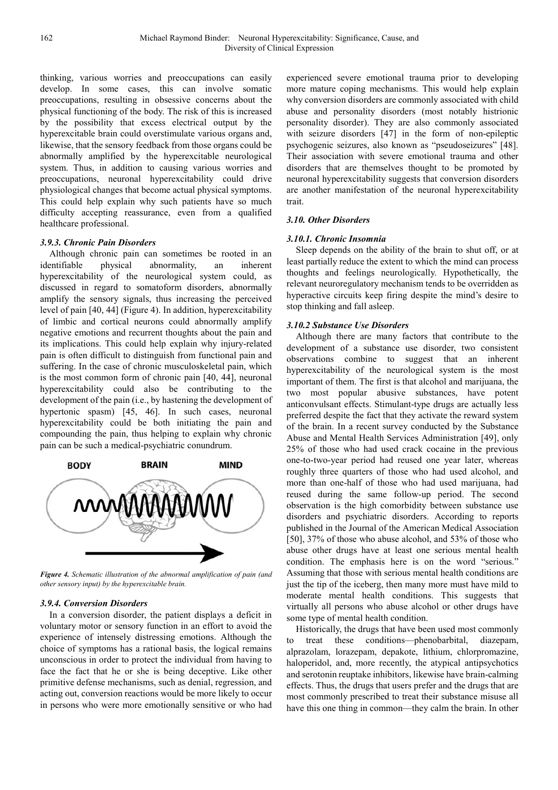thinking, various worries and preoccupations can easily develop. In some cases, this can involve somatic preoccupations, resulting in obsessive concerns about the physical functioning of the body. The risk of this is increased by the possibility that excess electrical output by the hyperexcitable brain could overstimulate various organs and, likewise, that the sensory feedback from those organs could be abnormally amplified by the hyperexcitable neurological system. Thus, in addition to causing various worries and preoccupations, neuronal hyperexcitability could drive physiological changes that become actual physical symptoms. This could help explain why such patients have so much difficulty accepting reassurance, even from a qualified healthcare professional.

#### *3.9.3. Chronic Pain Disorders*

Although chronic pain can sometimes be rooted in an identifiable physical abnormality, an inherent hyperexcitability of the neurological system could, as discussed in regard to somatoform disorders, abnormally amplify the sensory signals, thus increasing the perceived level of pain [40, 44] (Figure 4). In addition, hyperexcitability of limbic and cortical neurons could abnormally amplify negative emotions and recurrent thoughts about the pain and its implications. This could help explain why injury-related pain is often difficult to distinguish from functional pain and suffering. In the case of chronic musculoskeletal pain, which is the most common form of chronic pain [40, 44], neuronal hyperexcitability could also be contributing to the development of the pain (i.e., by hastening the development of hypertonic spasm) [45, 46]. In such cases, neuronal hyperexcitability could be both initiating the pain and compounding the pain, thus helping to explain why chronic pain can be such a medical-psychiatric conundrum.



*Figure 4. Schematic illustration of the abnormal amplification of pain (and other sensory input) by the hyperexcitable brain.* 

#### *3.9.4. Conversion Disorders*

In a conversion disorder, the patient displays a deficit in voluntary motor or sensory function in an effort to avoid the experience of intensely distressing emotions. Although the choice of symptoms has a rational basis, the logical remains unconscious in order to protect the individual from having to face the fact that he or she is being deceptive. Like other primitive defense mechanisms, such as denial, regression, and acting out, conversion reactions would be more likely to occur in persons who were more emotionally sensitive or who had experienced severe emotional trauma prior to developing more mature coping mechanisms. This would help explain why conversion disorders are commonly associated with child abuse and personality disorders (most notably histrionic personality disorder). They are also commonly associated with seizure disorders [47] in the form of non-epileptic psychogenic seizures, also known as "pseudoseizures" [48]. Their association with severe emotional trauma and other disorders that are themselves thought to be promoted by neuronal hyperexcitability suggests that conversion disorders are another manifestation of the neuronal hyperexcitability trait.

#### *3.10. Other Disorders*

#### *3.10.1. Chronic Insomnia*

Sleep depends on the ability of the brain to shut off, or at least partially reduce the extent to which the mind can process thoughts and feelings neurologically. Hypothetically, the relevant neuroregulatory mechanism tends to be overridden as hyperactive circuits keep firing despite the mind's desire to stop thinking and fall asleep.

#### *3.10.2 Substance Use Disorders*

Although there are many factors that contribute to the development of a substance use disorder, two consistent observations combine to suggest that an inherent hyperexcitability of the neurological system is the most important of them. The first is that alcohol and marijuana, the two most popular abusive substances, have potent anticonvulsant effects. Stimulant-type drugs are actually less preferred despite the fact that they activate the reward system of the brain. In a recent survey conducted by the Substance Abuse and Mental Health Services Administration [49], only 25% of those who had used crack cocaine in the previous one-to-two-year period had reused one year later, whereas roughly three quarters of those who had used alcohol, and more than one-half of those who had used marijuana, had reused during the same follow-up period. The second observation is the high comorbidity between substance use disorders and psychiatric disorders. According to reports published in the Journal of the American Medical Association [50], 37% of those who abuse alcohol, and 53% of those who abuse other drugs have at least one serious mental health condition. The emphasis here is on the word "serious." Assuming that those with serious mental health conditions are just the tip of the iceberg, then many more must have mild to moderate mental health conditions. This suggests that virtually all persons who abuse alcohol or other drugs have some type of mental health condition.

Historically, the drugs that have been used most commonly to treat these conditions—phenobarbital, diazepam, alprazolam, lorazepam, depakote, lithium, chlorpromazine, haloperidol, and, more recently, the atypical antipsychotics and serotonin reuptake inhibitors, likewise have brain-calming effects. Thus, the drugs that users prefer and the drugs that are most commonly prescribed to treat their substance misuse all have this one thing in common—they calm the brain. In other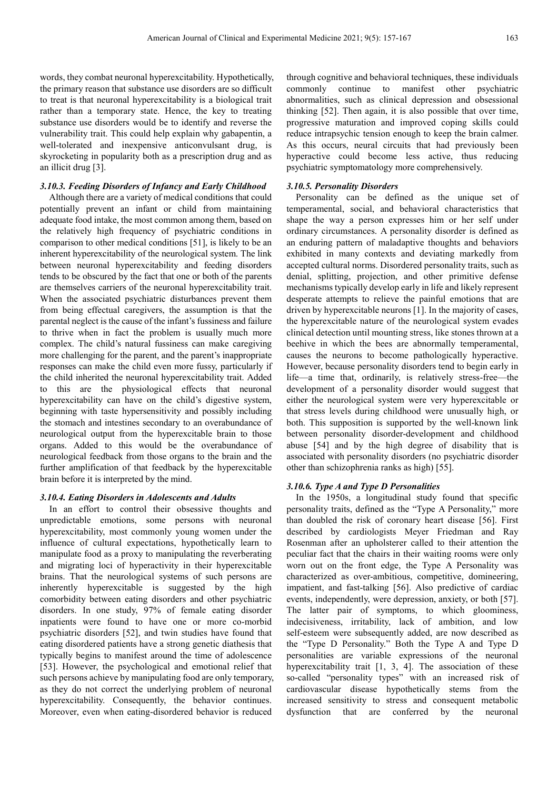words, they combat neuronal hyperexcitability. Hypothetically, the primary reason that substance use disorders are so difficult to treat is that neuronal hyperexcitability is a biological trait rather than a temporary state. Hence, the key to treating substance use disorders would be to identify and reverse the vulnerability trait. This could help explain why gabapentin, a well-tolerated and inexpensive anticonvulsant drug, is skyrocketing in popularity both as a prescription drug and as an illicit drug [3].

#### *3.10.3. Feeding Disorders of Infancy and Early Childhood*

Although there are a variety of medical conditions that could potentially prevent an infant or child from maintaining adequate food intake, the most common among them, based on the relatively high frequency of psychiatric conditions in comparison to other medical conditions [51], is likely to be an inherent hyperexcitability of the neurological system. The link between neuronal hyperexcitability and feeding disorders tends to be obscured by the fact that one or both of the parents are themselves carriers of the neuronal hyperexcitability trait. When the associated psychiatric disturbances prevent them from being effectual caregivers, the assumption is that the parental neglect is the cause of the infant's fussiness and failure to thrive when in fact the problem is usually much more complex. The child's natural fussiness can make caregiving more challenging for the parent, and the parent's inappropriate responses can make the child even more fussy, particularly if the child inherited the neuronal hyperexcitability trait. Added to this are the physiological effects that neuronal hyperexcitability can have on the child's digestive system, beginning with taste hypersensitivity and possibly including the stomach and intestines secondary to an overabundance of neurological output from the hyperexcitable brain to those organs. Added to this would be the overabundance of neurological feedback from those organs to the brain and the further amplification of that feedback by the hyperexcitable brain before it is interpreted by the mind.

#### *3.10.4. Eating Disorders in Adolescents and Adults*

In an effort to control their obsessive thoughts and unpredictable emotions, some persons with neuronal hyperexcitability, most commonly young women under the influence of cultural expectations, hypothetically learn to manipulate food as a proxy to manipulating the reverberating and migrating loci of hyperactivity in their hyperexcitable brains. That the neurological systems of such persons are inherently hyperexcitable is suggested by the high comorbidity between eating disorders and other psychiatric disorders. In one study, 97% of female eating disorder inpatients were found to have one or more co-morbid psychiatric disorders [52], and twin studies have found that eating disordered patients have a strong genetic diathesis that typically begins to manifest around the time of adolescence [53]. However, the psychological and emotional relief that such persons achieve by manipulating food are only temporary, as they do not correct the underlying problem of neuronal hyperexcitability. Consequently, the behavior continues. Moreover, even when eating-disordered behavior is reduced

through cognitive and behavioral techniques, these individuals commonly continue to manifest other psychiatric abnormalities, such as clinical depression and obsessional thinking [52]. Then again, it is also possible that over time, progressive maturation and improved coping skills could reduce intrapsychic tension enough to keep the brain calmer. As this occurs, neural circuits that had previously been hyperactive could become less active, thus reducing psychiatric symptomatology more comprehensively.

#### *3.10.5. Personality Disorders*

Personality can be defined as the unique set of temperamental, social, and behavioral characteristics that shape the way a person expresses him or her self under ordinary circumstances. A personality disorder is defined as an enduring pattern of maladaptive thoughts and behaviors exhibited in many contexts and deviating markedly from accepted cultural norms. Disordered personality traits, such as denial, splitting, projection, and other primitive defense mechanisms typically develop early in life and likely represent desperate attempts to relieve the painful emotions that are driven by hyperexcitable neurons [1]. In the majority of cases, the hyperexcitable nature of the neurological system evades clinical detection until mounting stress, like stones thrown at a beehive in which the bees are abnormally temperamental, causes the neurons to become pathologically hyperactive. However, because personality disorders tend to begin early in life—a time that, ordinarily, is relatively stress-free—the development of a personality disorder would suggest that either the neurological system were very hyperexcitable or that stress levels during childhood were unusually high, or both. This supposition is supported by the well-known link between personality disorder-development and childhood abuse [54] and by the high degree of disability that is associated with personality disorders (no psychiatric disorder other than schizophrenia ranks as high) [55].

#### *3.10.6. Type A and Type D Personalities*

In the 1950s, a longitudinal study found that specific personality traits, defined as the "Type A Personality," more than doubled the risk of coronary heart disease [56]. First described by cardiologists Meyer Friedman and Ray Rosenman after an upholsterer called to their attention the peculiar fact that the chairs in their waiting rooms were only worn out on the front edge, the Type A Personality was characterized as over-ambitious, competitive, domineering, impatient, and fast-talking [56]. Also predictive of cardiac events, independently, were depression, anxiety, or both [57]. The latter pair of symptoms, to which gloominess, indecisiveness, irritability, lack of ambition, and low self-esteem were subsequently added, are now described as the "Type D Personality." Both the Type A and Type D personalities are variable expressions of the neuronal hyperexcitability trait [1, 3, 4]. The association of these so-called "personality types" with an increased risk of cardiovascular disease hypothetically stems from the increased sensitivity to stress and consequent metabolic dysfunction that are conferred by the neuronal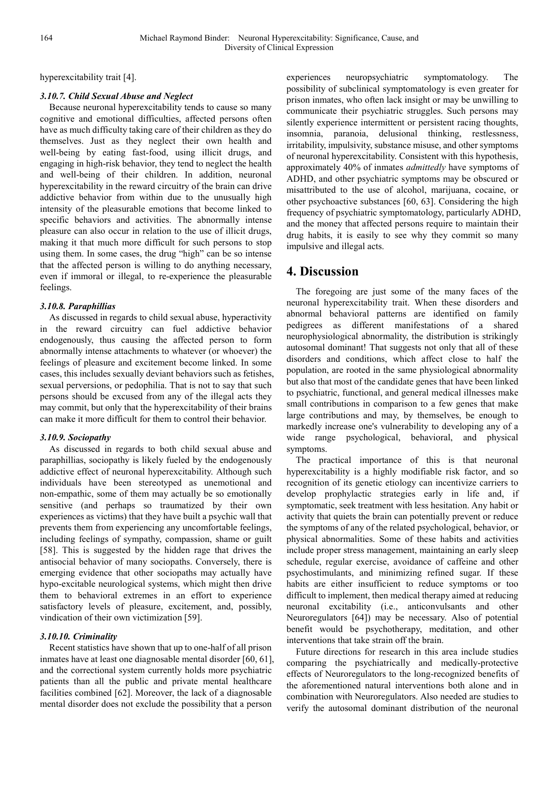hyperexcitability trait [4].

#### *3.10.7. Child Sexual Abuse and Neglect*

Because neuronal hyperexcitability tends to cause so many cognitive and emotional difficulties, affected persons often have as much difficulty taking care of their children as they do themselves. Just as they neglect their own health and well-being by eating fast-food, using illicit drugs, and engaging in high-risk behavior, they tend to neglect the health and well-being of their children. In addition, neuronal hyperexcitability in the reward circuitry of the brain can drive addictive behavior from within due to the unusually high intensity of the pleasurable emotions that become linked to specific behaviors and activities. The abnormally intense pleasure can also occur in relation to the use of illicit drugs, making it that much more difficult for such persons to stop using them. In some cases, the drug "high" can be so intense that the affected person is willing to do anything necessary, even if immoral or illegal, to re-experience the pleasurable feelings.

#### *3.10.8. Paraphillias*

As discussed in regards to child sexual abuse, hyperactivity in the reward circuitry can fuel addictive behavior endogenously, thus causing the affected person to form abnormally intense attachments to whatever (or whoever) the feelings of pleasure and excitement become linked. In some cases, this includes sexually deviant behaviors such as fetishes, sexual perversions, or pedophilia. That is not to say that such persons should be excused from any of the illegal acts they may commit, but only that the hyperexcitability of their brains can make it more difficult for them to control their behavior.

### *3.10.9. Sociopathy*

As discussed in regards to both child sexual abuse and paraphillias, sociopathy is likely fueled by the endogenously addictive effect of neuronal hyperexcitability. Although such individuals have been stereotyped as unemotional and non-empathic, some of them may actually be so emotionally sensitive (and perhaps so traumatized by their own experiences as victims) that they have built a psychic wall that prevents them from experiencing any uncomfortable feelings, including feelings of sympathy, compassion, shame or guilt [58]. This is suggested by the hidden rage that drives the antisocial behavior of many sociopaths. Conversely, there is emerging evidence that other sociopaths may actually have hypo-excitable neurological systems, which might then drive them to behavioral extremes in an effort to experience satisfactory levels of pleasure, excitement, and, possibly, vindication of their own victimization [59].

### *3.10.10. Criminality*

Recent statistics have shown that up to one-half of all prison inmates have at least one diagnosable mental disorder [60, 61], and the correctional system currently holds more psychiatric patients than all the public and private mental healthcare facilities combined [62]. Moreover, the lack of a diagnosable mental disorder does not exclude the possibility that a person

experiences neuropsychiatric symptomatology. The possibility of subclinical symptomatology is even greater for prison inmates, who often lack insight or may be unwilling to communicate their psychiatric struggles. Such persons may silently experience intermittent or persistent racing thoughts, insomnia, paranoia, delusional thinking, restlessness, irritability, impulsivity, substance misuse, and other symptoms of neuronal hyperexcitability. Consistent with this hypothesis, approximately 40% of inmates *admittedly* have symptoms of ADHD, and other psychiatric symptoms may be obscured or misattributed to the use of alcohol, marijuana, cocaine, or other psychoactive substances [60, 63]. Considering the high frequency of psychiatric symptomatology, particularly ADHD, and the money that affected persons require to maintain their drug habits, it is easily to see why they commit so many impulsive and illegal acts.

## **4. Discussion**

The foregoing are just some of the many faces of the neuronal hyperexcitability trait. When these disorders and abnormal behavioral patterns are identified on family pedigrees as different manifestations of a shared neurophysiological abnormality, the distribution is strikingly autosomal dominant! That suggests not only that all of these disorders and conditions, which affect close to half the population, are rooted in the same physiological abnormality but also that most of the candidate genes that have been linked to psychiatric, functional, and general medical illnesses make small contributions in comparison to a few genes that make large contributions and may, by themselves, be enough to markedly increase one's vulnerability to developing any of a wide range psychological, behavioral, and physical symptoms.

The practical importance of this is that neuronal hyperexcitability is a highly modifiable risk factor, and so recognition of its genetic etiology can incentivize carriers to develop prophylactic strategies early in life and, if symptomatic, seek treatment with less hesitation. Any habit or activity that quiets the brain can potentially prevent or reduce the symptoms of any of the related psychological, behavior, or physical abnormalities. Some of these habits and activities include proper stress management, maintaining an early sleep schedule, regular exercise, avoidance of caffeine and other psychostimulants, and minimizing refined sugar. If these habits are either insufficient to reduce symptoms or too difficult to implement, then medical therapy aimed at reducing neuronal excitability (i.e., anticonvulsants and other Neuroregulators [64]) may be necessary. Also of potential benefit would be psychotherapy, meditation, and other interventions that take strain off the brain.

Future directions for research in this area include studies comparing the psychiatrically and medically-protective effects of Neuroregulators to the long-recognized benefits of the aforementioned natural interventions both alone and in combination with Neuroregulators. Also needed are studies to verify the autosomal dominant distribution of the neuronal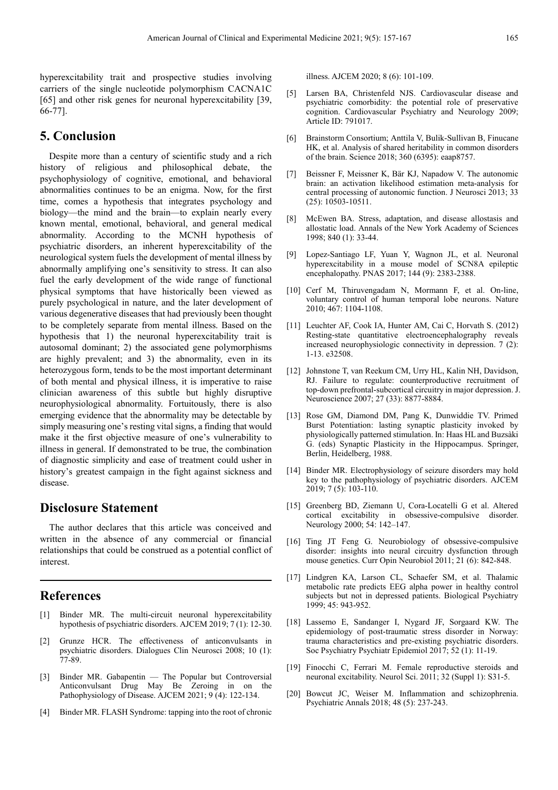hyperexcitability trait and prospective studies involving carriers of the single nucleotide polymorphism CACNA1C [65] and other risk genes for neuronal hyperexcitability [39, 66-77].

## **5. Conclusion**

Despite more than a century of scientific study and a rich history of religious and philosophical debate, the psychophysiology of cognitive, emotional, and behavioral abnormalities continues to be an enigma. Now, for the first time, comes a hypothesis that integrates psychology and biology—the mind and the brain—to explain nearly every known mental, emotional, behavioral, and general medical abnormality. According to the MCNH hypothesis of psychiatric disorders, an inherent hyperexcitability of the neurological system fuels the development of mental illness by abnormally amplifying one's sensitivity to stress. It can also fuel the early development of the wide range of functional physical symptoms that have historically been viewed as purely psychological in nature, and the later development of various degenerative diseases that had previously been thought to be completely separate from mental illness. Based on the hypothesis that 1) the neuronal hyperexcitability trait is autosomal dominant; 2) the associated gene polymorphisms are highly prevalent; and 3) the abnormality, even in its heterozygous form, tends to be the most important determinant of both mental and physical illness, it is imperative to raise clinician awareness of this subtle but highly disruptive neurophysiological abnormality. Fortuitously, there is also emerging evidence that the abnormality may be detectable by simply measuring one's resting vital signs, a finding that would make it the first objective measure of one's vulnerability to illness in general. If demonstrated to be true, the combination of diagnostic simplicity and ease of treatment could usher in history's greatest campaign in the fight against sickness and disease.

## **Disclosure Statement**

The author declares that this article was conceived and written in the absence of any commercial or financial relationships that could be construed as a potential conflict of interest.

## **References**

- [1] Binder MR. The multi-circuit neuronal hyperexcitability hypothesis of psychiatric disorders. AJCEM 2019; 7 (1): 12-30.
- [2] Grunze HCR. The effectiveness of anticonvulsants in psychiatric disorders. Dialogues Clin Neurosci 2008; 10 (1): 77-89.
- [3] Binder MR. Gabapentin The Popular but Controversial Anticonvulsant Drug May Be Zeroing in on the Pathophysiology of Disease. AJCEM 2021; 9 (4): 122-134.
- [4] Binder MR. FLASH Syndrome: tapping into the root of chronic

illness. AJCEM 2020; 8 (6): 101-109.

- [5] Larsen BA, Christenfeld NJS. Cardiovascular disease and psychiatric comorbidity: the potential role of preservative cognition. Cardiovascular Psychiatry and Neurology 2009; Article ID: 791017.
- [6] Brainstorm Consortium; Anttila V, Bulik-Sullivan B, Finucane HK, et al. Analysis of shared heritability in common disorders of the brain. Science 2018; 360 (6395): eaap8757.
- [7] Beissner F, Meissner K, Bär KJ, Napadow V. The autonomic brain: an activation likelihood estimation meta-analysis for central processing of autonomic function. J Neurosci 2013; 33 (25): 10503-10511.
- [8] McEwen BA. Stress, adaptation, and disease allostasis and allostatic load. Annals of the New York Academy of Sciences 1998; 840 (1): 33-44.
- [9] Lopez-Santiago LF, Yuan Y, Wagnon JL, et al. Neuronal hyperexcitability in a mouse model of SCN8A epileptic encephalopathy. PNAS 2017; 144 (9): 2383-2388.
- [10] Cerf M, Thiruvengadam N, Mormann F, et al. On-line, voluntary control of human temporal lobe neurons. Nature 2010; 467: 1104-1108.
- [11] Leuchter AF, Cook IA, Hunter AM, Cai C, Horvath S. (2012) Resting-state quantitative electroencephalography reveals increased neurophysiologic connectivity in depression. 7 (2): 1-13. e32508.
- [12] Johnstone T, van Reekum CM, Urry HL, Kalin NH, Davidson, RJ. Failure to regulate: counterproductive recruitment of top-down prefrontal-subcortical circuitry in major depression. J. Neuroscience 2007; 27 (33): 8877-8884.
- [13] Rose GM, Diamond DM, Pang K, Dunwiddie TV. Primed Burst Potentiation: lasting synaptic plasticity invoked by physiologically patterned stimulation. In: Haas HL and Buzsàki G. (eds) Synaptic Plasticity in the Hippocampus. Springer, Berlin, Heidelberg, 1988.
- [14] Binder MR. Electrophysiology of seizure disorders may hold key to the pathophysiology of psychiatric disorders. AJCEM 2019; 7 (5): 103-110.
- [15] Greenberg BD, Ziemann U, Cora-Locatelli G et al. Altered cortical excitability in obsessive-compulsive disorder. Neurology 2000; 54: 142–147.
- [16] Ting JT Feng G. Neurobiology of obsessive-compulsive disorder: insights into neural circuitry dysfunction through mouse genetics. Curr Opin Neurobiol 2011; 21 (6): 842-848.
- [17] Lindgren KA, Larson CL, Schaefer SM, et al. Thalamic metabolic rate predicts EEG alpha power in healthy control subjects but not in depressed patients. Biological Psychiatry 1999; 45: 943-952.
- [18] Lassemo E, Sandanger I, Nygard JF, Sorgaard KW. The epidemiology of post-traumatic stress disorder in Norway: trauma characteristics and pre-existing psychiatric disorders. Soc Psychiatry Psychiatr Epidemiol 2017; 52 (1): 11-19.
- [19] Finocchi C, Ferrari M. Female reproductive steroids and neuronal excitability. Neurol Sci. 2011; 32 (Suppl 1): S31-5.
- [20] Bowcut JC, Weiser M. Inflammation and schizophrenia. Psychiatric Annals 2018; 48 (5): 237-243.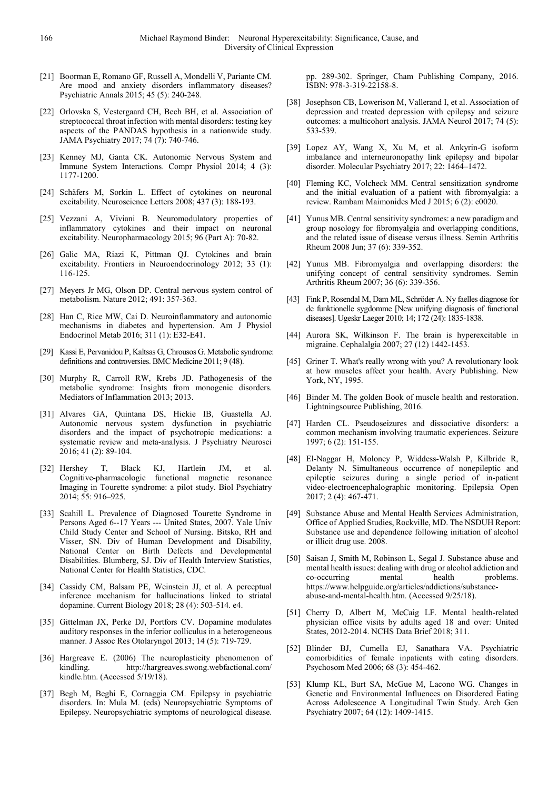- [21] Boorman E, Romano GF, Russell A, Mondelli V, Pariante CM. Are mood and anxiety disorders inflammatory diseases? Psychiatric Annals 2015; 45 (5): 240-248.
- [22] Orlovska S, Vestergaard CH, Bech BH, et al. Association of streptococcal throat infection with mental disorders: testing key aspects of the PANDAS hypothesis in a nationwide study. JAMA Psychiatry 2017; 74 (7): 740-746.
- [23] Kenney MJ, Ganta CK. Autonomic Nervous System and Immune System Interactions. Compr Physiol 2014; 4 (3): 1177-1200.
- [24] Schäfers M, Sorkin L. Effect of cytokines on neuronal excitability. Neuroscience Letters 2008; 437 (3): 188-193.
- [25] Vezzani A, Viviani B. Neuromodulatory properties of inflammatory cytokines and their impact on neuronal excitability. Neuropharmacology 2015; 96 (Part A): 70-82.
- [26] Galic MA, Riazi K, Pittman QJ. Cytokines and brain excitability. Frontiers in Neuroendocrinology 2012; 33 (1): 116-125.
- [27] Meyers Jr MG, Olson DP. Central nervous system control of metabolism. Nature 2012; 491: 357-363.
- [28] Han C, Rice MW, Cai D. Neuroinflammatory and autonomic mechanisms in diabetes and hypertension. Am J Physiol Endocrinol Metab 2016; 311 (1): E32-E41.
- [29] Kassi E, Pervanidou P, Kaltsas G, Chrousos G. Metabolic syndrome: definitions and controversies. BMC Medicine 2011; 9 (48).
- [30] Murphy R, Carroll RW, Krebs JD. Pathogenesis of the metabolic syndrome: Insights from monogenic disorders. Mediators of Inflammation 2013; 2013.
- [31] Alvares GA, Quintana DS, Hickie IB, Guastella AJ. Autonomic nervous system dysfunction in psychiatric disorders and the impact of psychotropic medications: a systematic review and meta-analysis. J Psychiatry Neurosci 2016; 41 (2): 89-104.
- [32] Hershey T, Black KJ, Hartlein JM, et al. Cognitive-pharmacologic functional magnetic resonance Imaging in Tourette syndrome: a pilot study. Biol Psychiatry 2014; 55: 916–925.
- [33] Scahill L. Prevalence of Diagnosed Tourette Syndrome in Persons Aged 6--17 Years --- United States, 2007. Yale Univ Child Study Center and School of Nursing. Bitsko, RH and Visser, SN. Div of Human Development and Disability, National Center on Birth Defects and Developmental Disabilities. Blumberg, SJ. Div of Health Interview Statistics, National Center for Health Statistics, CDC.
- [34] Cassidy CM, Balsam PE, Weinstein JJ, et al. A perceptual inference mechanism for hallucinations linked to striatal dopamine. Current Biology 2018; 28 (4): 503-514. e4.
- [35] Gittelman JX, Perke DJ, Portfors CV. Dopamine modulates auditory responses in the inferior colliculus in a heterogeneous manner. J Assoc Res Otolaryngol 2013; 14 (5): 719-729.
- [36] Hargreave E. (2006) The neuroplasticity phenomenon of kindling. http://hargreaves.swong.webfactional.com/ kindle.htm. (Accessed 5/19/18).
- [37] Begh M, Beghi E, Cornaggia CM. Epilepsy in psychiatric disorders. In: Mula M. (eds) Neuropsychiatric Symptoms of Epilepsy. Neuropsychiatric symptoms of neurological disease.

pp. 289-302. Springer, Cham Publishing Company, 2016. ISBN: 978-3-319-22158-8.

- [38] Josephson CB, Lowerison M, Vallerand I, et al. Association of depression and treated depression with epilepsy and seizure outcomes: a multicohort analysis. JAMA Neurol 2017; 74 (5): 533-539.
- [39] Lopez AY, Wang X, Xu M, et al. Ankyrin-G isoform imbalance and interneuronopathy link epilepsy and bipolar disorder. Molecular Psychiatry 2017; 22: 1464–1472.
- [40] Fleming KC, Volcheck MM. Central sensitization syndrome and the initial evaluation of a patient with fibromyalgia: a review. Rambam Maimonides Med J 2015; 6 (2): e0020.
- [41] Yunus MB. Central sensitivity syndromes: a new paradigm and group nosology for fibromyalgia and overlapping conditions, and the related issue of disease versus illness. Semin Arthritis Rheum 2008 Jun; 37 (6): 339-352.
- [42] Yunus MB. Fibromyalgia and overlapping disorders: the unifying concept of central sensitivity syndromes. Semin Arthritis Rheum 2007; 36 (6): 339-356.
- [43] Fink P, Rosendal M, Dam ML, Schröder A. Ny faelles diagnose for de funktionelle sygdomme [New unifying diagnosis of functional diseases]. Ugeskr Laeger 2010; 14; 172 (24): 1835-1838.
- [44] Aurora SK, Wilkinson F. The brain is hyperexcitable in migraine. Cephalalgia 2007; 27 (12) 1442-1453.
- [45] Griner T. What's really wrong with you? A revolutionary look at how muscles affect your health. Avery Publishing. New York, NY, 1995.
- [46] Binder M. The golden Book of muscle health and restoration. Lightningsource Publishing, 2016.
- [47] Harden CL. Pseudoseizures and dissociative disorders: a common mechanism involving traumatic experiences. Seizure 1997; 6 (2): 151-155.
- [48] El-Naggar H, Moloney P, Widdess-Walsh P, Kilbride R, Delanty N. Simultaneous occurrence of nonepileptic and epileptic seizures during a single period of in-patient video-electroencephalographic monitoring. Epilepsia Open 2017; 2 (4): 467-471.
- [49] Substance Abuse and Mental Health Services Administration, Office of Applied Studies, Rockville, MD. The NSDUH Report: Substance use and dependence following initiation of alcohol or illicit drug use. 2008.
- [50] Saisan J, Smith M, Robinson L, Segal J. Substance abuse and mental health issues: dealing with drug or alcohol addiction and co-occurring mental health problems. https://www.helpguide.org/articles/addictions/substanceabuse-and-mental-health.htm. (Accessed 9/25/18).
- [51] Cherry D, Albert M, McCaig LF. Mental health-related physician office visits by adults aged 18 and over: United States, 2012-2014. NCHS Data Brief 2018; 311.
- [52] Blinder BJ, Cumella EJ, Sanathara VA. Psychiatric comorbidities of female inpatients with eating disorders. Psychosom Med 2006; 68 (3): 454-462.
- [53] Klump KL, Burt SA, McGue M, Lacono WG. Changes in Genetic and Environmental Influences on Disordered Eating Across Adolescence A Longitudinal Twin Study. Arch Gen Psychiatry 2007; 64 (12): 1409-1415.